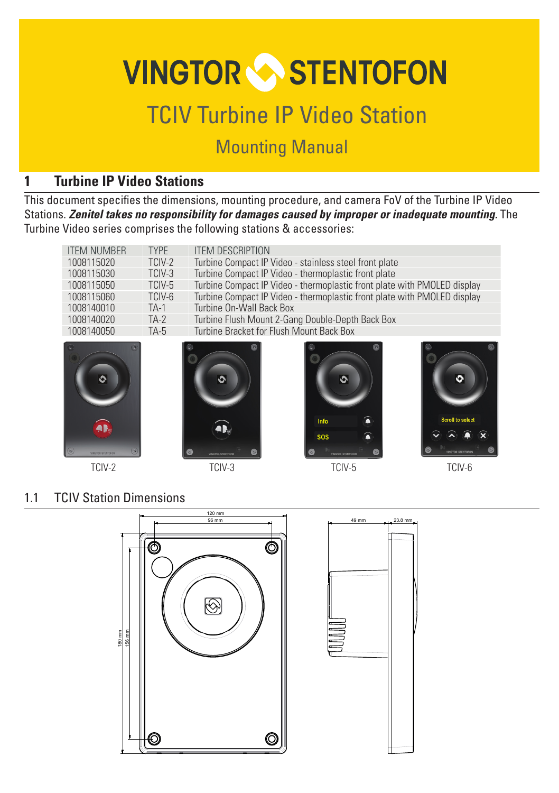# **VINGTOR STENTOFON**

# TCIV Turbine IP Video Station

# Mounting Manual

# **1 Turbine IP Video Stations**

This document specifies the dimensions, mounting procedure, and camera FoV of the Turbine IP Video Stations. *Zenitel takes no responsibility for damages caused by improper or inadequate mounting.* The Turbine Video series comprises the following stations & accessories:

| <b>ITEM NUMBER</b>           | <b>TYPF</b> | <b>ITEM DESCRIPTION</b>                                                  |                               |                         |
|------------------------------|-------------|--------------------------------------------------------------------------|-------------------------------|-------------------------|
| 1008115020                   | TCIV-2      | Turbine Compact IP Video - stainless steel front plate                   |                               |                         |
| 1008115030                   | TCIV-3      | Turbine Compact IP Video - thermoplastic front plate                     |                               |                         |
| 1008115050                   | TCIV-5      | Turbine Compact IP Video - thermoplastic front plate with PMOLED display |                               |                         |
| 1008115060                   | TCIV-6      | Turbine Compact IP Video - thermoplastic front plate with PMOLED display |                               |                         |
| 1008140010                   | TA-1        | Turbine On-Wall Back Box                                                 |                               |                         |
| 1008140020                   | $TA-2$      | Turbine Flush Mount 2-Gang Double-Depth Back Box                         |                               |                         |
| 1008140050                   | $TA-5$      | Turbine Bracket for Flush Mount Back Box                                 |                               |                         |
| AR.                          |             |                                                                          | Info                          | <b>Scroll to select</b> |
| $\circ$<br>VINGTOR-STENTOFON |             | <b>INGODE STENTOFON</b>                                                  | <b>SOS</b><br>VWGTO3-STENTOFO |                         |
| TCIV-2                       |             | TCIV-3                                                                   | TCIV-5                        | TCIV-6                  |

#### 1.1 TCIV Station Dimensions



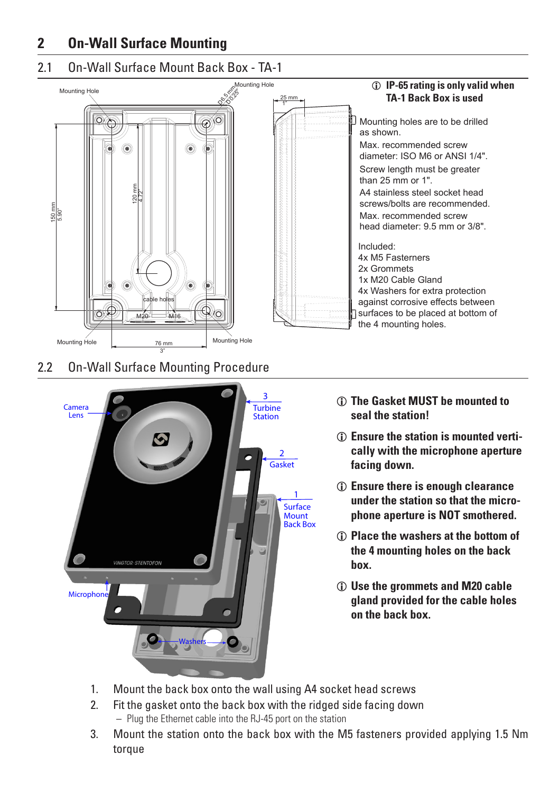### **2 On-Wall Surface Mounting**

#### 2.1 On-Wall Surface Mount Back Box - TA-1



#### 2.2 On-Wall Surface Mounting Procedure

3"



- L **The Gasket MUST be mounted to seal the station!**
- $\circ$  Ensure the station is mounted verti**cally with the microphone aperture facing down.**
- L **Ensure there is enough clearance under the station so that the microphone aperture is NOT smothered.**
- L **Place the washers at the bottom of the 4 mounting holes on the back box.**
- L **Use the grommets and M20 cable gland provided for the cable holes on the back box.**
- 1. Mount the back box onto the wall using A4 socket head screws
- 2. Fit the gasket onto the back box with the ridged side facing down
	- Plug the Ethernet cable into the RJ-45 port on the station
- 3. Mount the station onto the back box with the M5 fasteners provided applying 1.5 Nm torque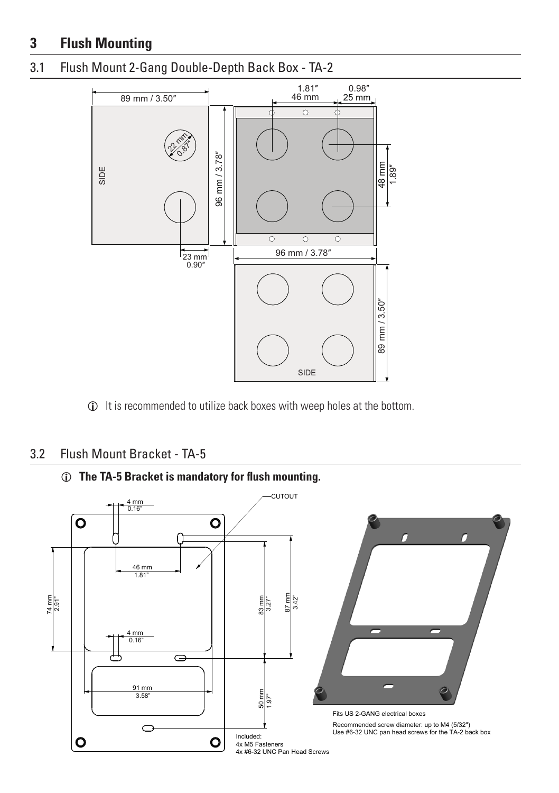# **3 Flush Mounting**

#### 3.1 Flush Mount 2-Gang Double-Depth Back Box - TA-2



L It is recommended to utilize back boxes with weep holes at the bottom.

#### 3.2 Flush Mount Bracket - TA-5